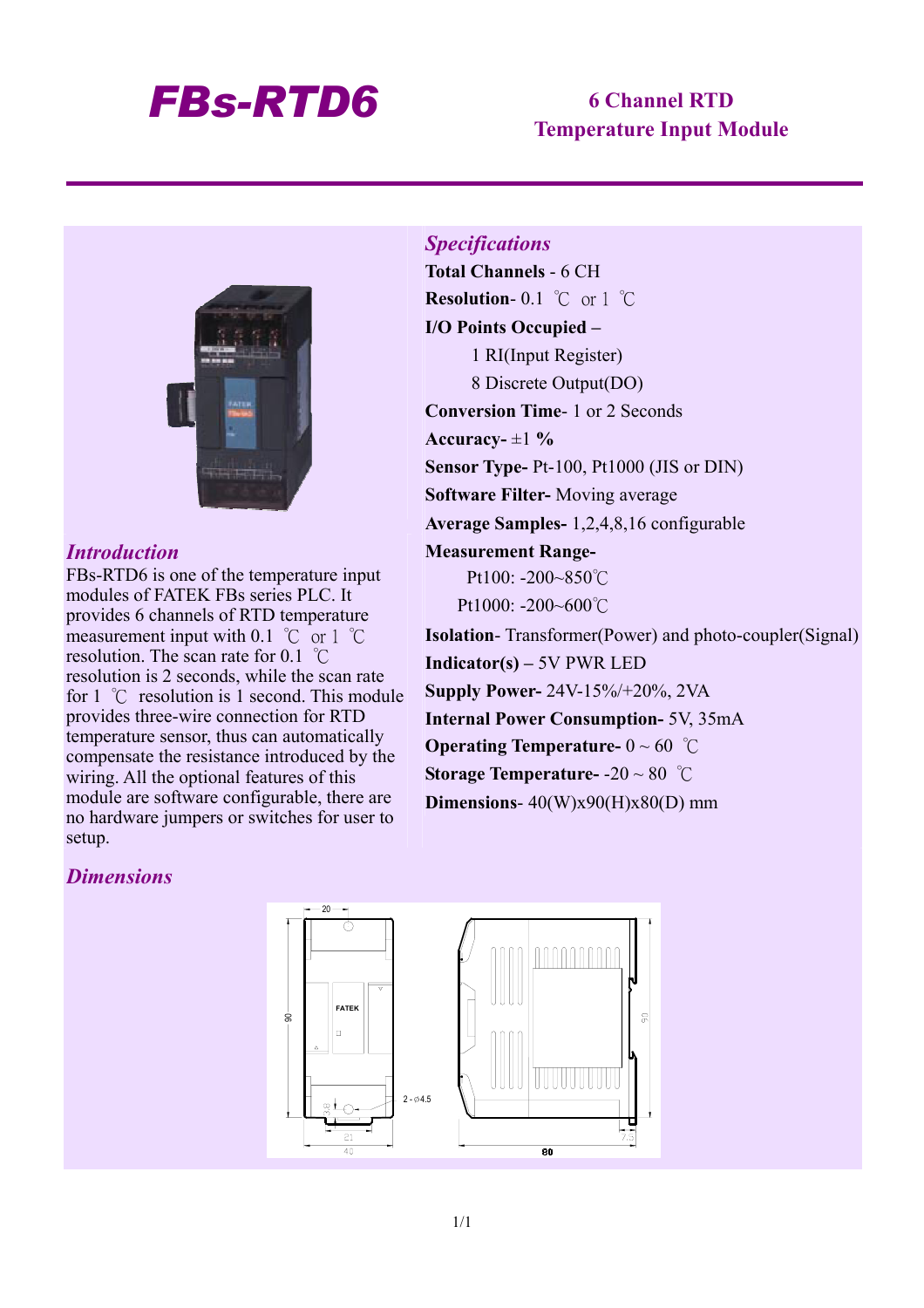## *FBs-RTD6* **6 Channel RTD**

# **Temperature Input Module**



#### *Introduction*

FBs-RTD6 is one of the temperature input modules of FATEK FBs series PLC. It provides 6 channels of RTD temperature measurement input with 0.1 ℃ or 1 ℃ resolution. The scan rate for 0.1 ℃ resolution is 2 seconds, while the scan rate for 1 ℃ resolution is 1 second. This module provides three-wire connection for RTD temperature sensor, thus can automatically compensate the resistance introduced by the wiring. All the optional features of this module are software configurable, there are no hardware jumpers or switches for user to setup.

*Specifications*  **Total Channels** - 6 CH **Resolution**- 0.1 ℃ or 1 ℃ **I/O Points Occupied –**  1 RI(Input Register) 8 Discrete Output(DO) **Conversion Time**- 1 or 2 Seconds Accuracy- $\pm 1$ <sup>%</sup> **Sensor Type-** Pt-100, Pt1000 (JIS or DIN) **Software Filter-** Moving average **Average Samples-** 1,2,4,8,16 configurable **Measurement Range-**Pt100: -200~850°C Pt1000: -200~600°C **Isolation**- Transformer(Power) and photo-coupler(Signal) **Indicator(s) –** 5V PWR LED **Supply Power-** 24V-15%/+20%, 2VA **Internal Power Consumption-** 5V, 35mA **Operating Temperature-** 0 ~ 60 ℃ **Storage Temperature-** -20 ~ 80 ℃ **Dimensions**- 40(W)x90(H)x80(D) mm

#### *Dimensions*

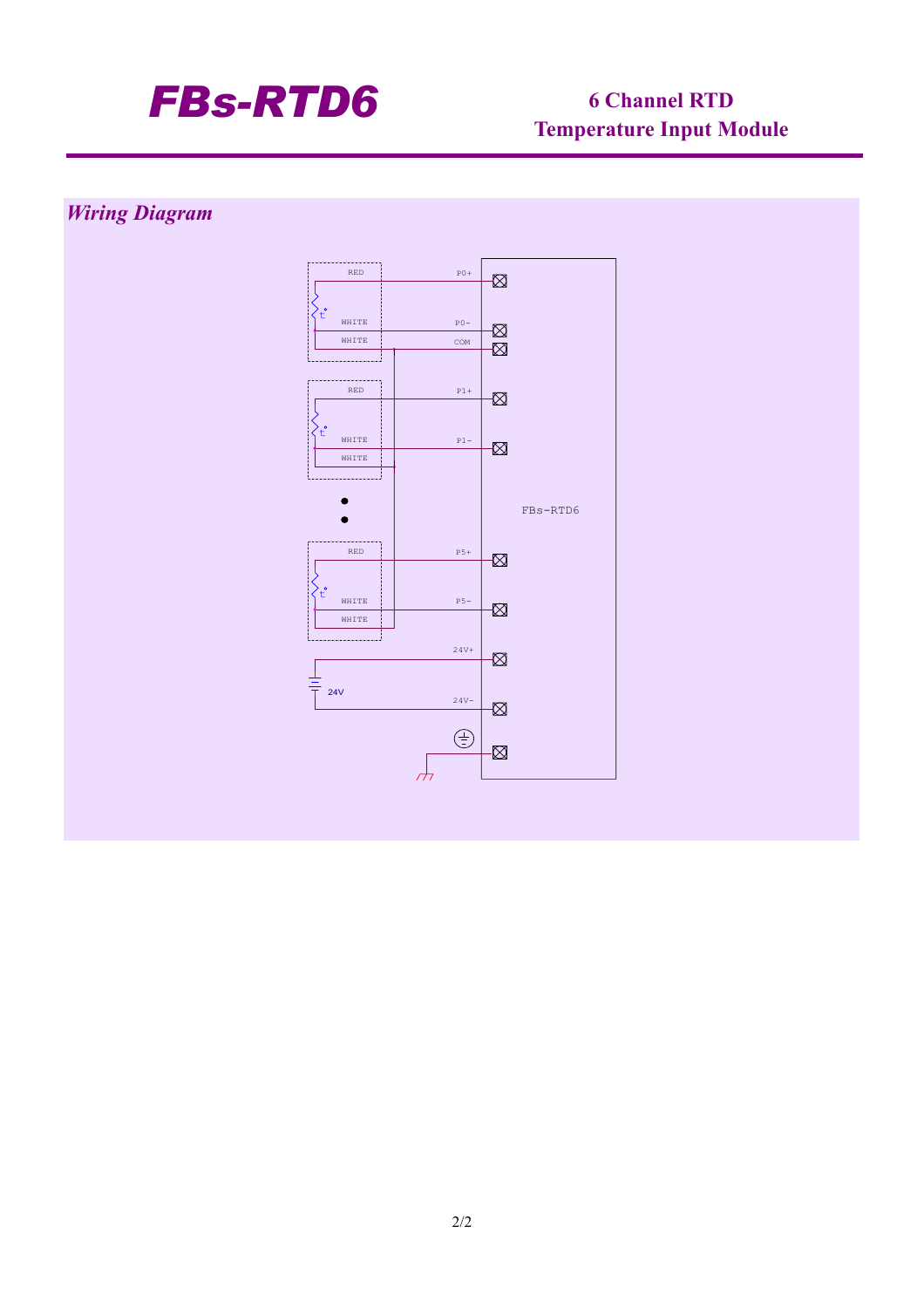

# **Temperature Input Module**

### *Wiring Diagram*